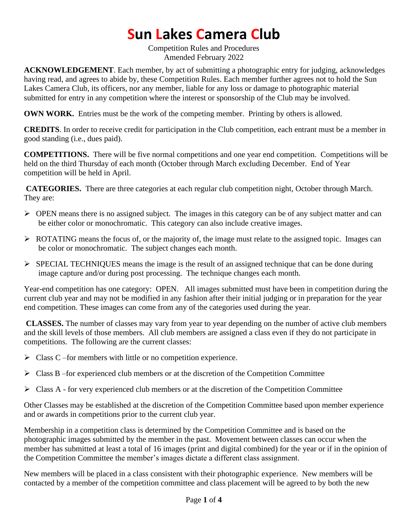# **Sun Lakes Camera Club**

Competition Rules and Procedures Amended February 2022

**ACKNOWLEDGEMENT**. Each member, by act of submitting a photographic entry for judging, acknowledges having read, and agrees to abide by, these Competition Rules. Each member further agrees not to hold the Sun Lakes Camera Club, its officers, nor any member, liable for any loss or damage to photographic material submitted for entry in any competition where the interest or sponsorship of the Club may be involved.

**OWN WORK.** Entries must be the work of the competing member. Printing by others is allowed.

**CREDITS**. In order to receive credit for participation in the Club competition, each entrant must be a member in good standing (i.e., dues paid).

**COMPETITIONS.** There will be five normal competitions and one year end competition. Competitions will be held on the third Thursday of each month (October through March excluding December. End of Year competition will be held in April.

**CATEGORIES.** There are three categories at each regular club competition night, October through March. They are:

- ➢ OPEN means there is no assigned subject. The images in this category can be of any subject matter and can be either color or monochromatic. This category can also include creative images.
- $\triangleright$  ROTATING means the focus of, or the majority of, the image must relate to the assigned topic. Images can be color or monochromatic. The subject changes each month.
- ➢ SPECIAL TECHNIQUES means the image is the result of an assigned technique that can be done during image capture and/or during post processing. The technique changes each month.

Year-end competition has one category: OPEN. All images submitted must have been in competition during the current club year and may not be modified in any fashion after their initial judging or in preparation for the year end competition. These images can come from any of the categories used during the year.

**CLASSES.** The number of classes may vary from year to year depending on the number of active club members and the skill levels of those members. All club members are assigned a class even if they do not participate in competitions. The following are the current classes:

- $\triangleright$  Class C –for members with little or no competition experience.
- $\triangleright$  Class B –for experienced club members or at the discretion of the Competition Committee
- $\triangleright$  Class A for very experienced club members or at the discretion of the Competition Committee

Other Classes may be established at the discretion of the Competition Committee based upon member experience and or awards in competitions prior to the current club year.

Membership in a competition class is determined by the Competition Committee and is based on the photographic images submitted by the member in the past. Movement between classes can occur when the member has submitted at least a total of 16 images (print and digital combined) for the year or if in the opinion of the Competition Committee the member's images dictate a different class assignment.

New members will be placed in a class consistent with their photographic experience. New members will be contacted by a member of the competition committee and class placement will be agreed to by both the new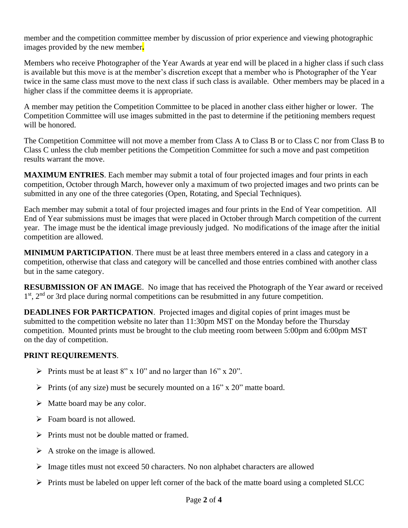member and the competition committee member by discussion of prior experience and viewing photographic images provided by the new member**.** 

Members who receive Photographer of the Year Awards at year end will be placed in a higher class if such class is available but this move is at the member's discretion except that a member who is Photographer of the Year twice in the same class must move to the next class if such class is available. Other members may be placed in a higher class if the committee deems it is appropriate.

A member may petition the Competition Committee to be placed in another class either higher or lower. The Competition Committee will use images submitted in the past to determine if the petitioning members request will be honored.

The Competition Committee will not move a member from Class A to Class B or to Class C nor from Class B to Class C unless the club member petitions the Competition Committee for such a move and past competition results warrant the move.

**MAXIMUM ENTRIES**. Each member may submit a total of four projected images and four prints in each competition, October through March, however only a maximum of two projected images and two prints can be submitted in any one of the three categories (Open, Rotating, and Special Techniques).

Each member may submit a total of four projected images and four prints in the End of Year competition. All End of Year submissions must be images that were placed in October through March competition of the current year. The image must be the identical image previously judged. No modifications of the image after the initial competition are allowed.

**MINIMUM PARTICIPATION**. There must be at least three members entered in a class and category in a competition, otherwise that class and category will be cancelled and those entries combined with another class but in the same category.

**RESUBMISSION OF AN IMAGE**. No image that has received the Photograph of the Year award or received 1<sup>st</sup>, 2<sup>nd</sup> or 3rd place during normal competitions can be resubmitted in any future competition.

**DEADLINES FOR PARTICPATION.** Projected images and digital copies of print images must be submitted to the competition website no later than 11:30pm MST on the Monday before the Thursday competition. Mounted prints must be brought to the club meeting room between 5:00pm and 6:00pm MST on the day of competition.

#### **PRINT REQUIREMENTS**.

- $\triangleright$  Prints must be at least 8" x 10" and no larger than 16" x 20".
- $\triangleright$  Prints (of any size) must be securely mounted on a 16" x 20" matte board.
- $\triangleright$  Matte board may be any color.
- $\triangleright$  Foam board is not allowed.
- ➢ Prints must not be double matted or framed.
- $\triangleright$  A stroke on the image is allowed.
- $\triangleright$  Image titles must not exceed 50 characters. No non alphabet characters are allowed
- ➢ Prints must be labeled on upper left corner of the back of the matte board using a completed SLCC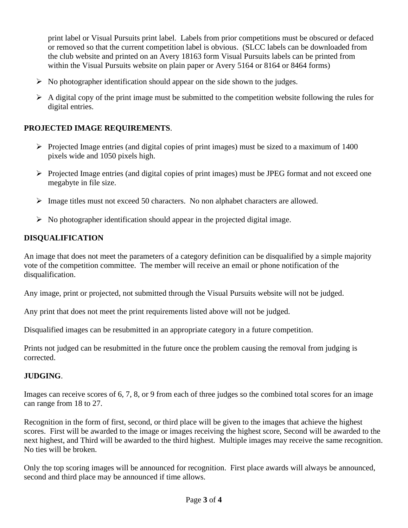print label or Visual Pursuits print label. Labels from prior competitions must be obscured or defaced or removed so that the current competition label is obvious. (SLCC labels can be downloaded from the club website and printed on an Avery 18163 form Visual Pursuits labels can be printed from within the Visual Pursuits website on plain paper or Avery 5164 or 8164 or 8464 forms)

- $\triangleright$  No photographer identification should appear on the side shown to the judges.
- $\triangleright$  A digital copy of the print image must be submitted to the competition website following the rules for digital entries.

### **PROJECTED IMAGE REQUIREMENTS**.

- ➢ Projected Image entries (and digital copies of print images) must be sized to a maximum of 1400 pixels wide and 1050 pixels high.
- ➢ Projected Image entries (and digital copies of print images) must be JPEG format and not exceed one megabyte in file size.
- ➢ Image titles must not exceed 50 characters. No non alphabet characters are allowed.
- $\triangleright$  No photographer identification should appear in the projected digital image.

## **DISQUALIFICATION**

An image that does not meet the parameters of a category definition can be disqualified by a simple majority vote of the competition committee. The member will receive an email or phone notification of the disqualification.

Any image, print or projected, not submitted through the Visual Pursuits website will not be judged.

Any print that does not meet the print requirements listed above will not be judged.

Disqualified images can be resubmitted in an appropriate category in a future competition.

Prints not judged can be resubmitted in the future once the problem causing the removal from judging is corrected.

#### **JUDGING**.

Images can receive scores of 6, 7, 8, or 9 from each of three judges so the combined total scores for an image can range from 18 to 27.

Recognition in the form of first, second, or third place will be given to the images that achieve the highest scores. First will be awarded to the image or images receiving the highest score, Second will be awarded to the next highest, and Third will be awarded to the third highest. Multiple images may receive the same recognition. No ties will be broken.

Only the top scoring images will be announced for recognition. First place awards will always be announced, second and third place may be announced if time allows.